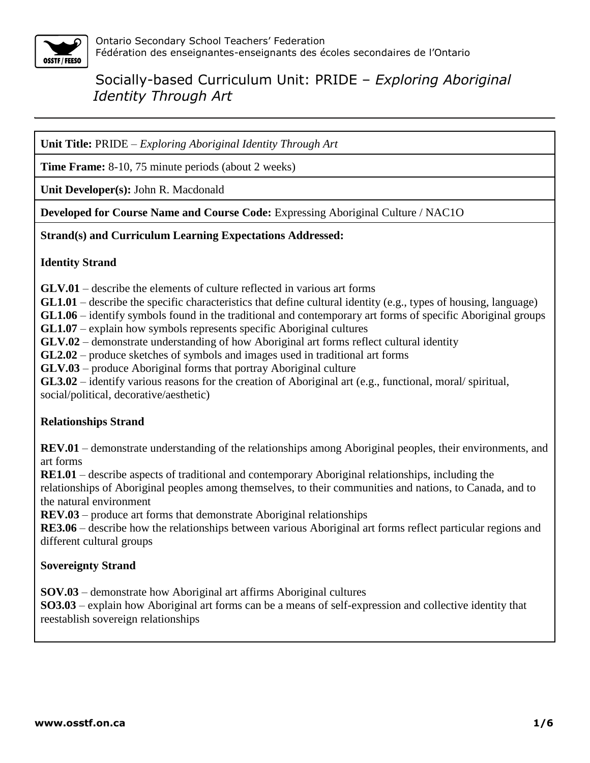

**Unit Title:** PRIDE – *Exploring Aboriginal Identity Through Art*

**Time Frame:** 8-10, 75 minute periods (about 2 weeks)

**Unit Developer(s):** John R. Macdonald

**Developed for Course Name and Course Code:** Expressing Aboriginal Culture / NAC1O

## **Strand(s) and Curriculum Learning Expectations Addressed:**

#### **Identity Strand**

**GLV.01** – describe the elements of culture reflected in various art forms

**GL1.01** – describe the specific characteristics that define cultural identity (e.g., types of housing, language)

**GL1.06** – identify symbols found in the traditional and contemporary art forms of specific Aboriginal groups

**GL1.07** – explain how symbols represents specific Aboriginal cultures

**GLV.02** – demonstrate understanding of how Aboriginal art forms reflect cultural identity

**GL2.02** – produce sketches of symbols and images used in traditional art forms

**GLV.03** – produce Aboriginal forms that portray Aboriginal culture

**GL3.02** – identify various reasons for the creation of Aboriginal art (e.g., functional, moral/ spiritual, social/political, decorative/aesthetic)

## **Relationships Strand**

**REV.01** – demonstrate understanding of the relationships among Aboriginal peoples, their environments, and art forms

**RE1.01** – describe aspects of traditional and contemporary Aboriginal relationships, including the

relationships of Aboriginal peoples among themselves, to their communities and nations, to Canada, and to the natural environment

**REV.03** – produce art forms that demonstrate Aboriginal relationships

**RE3.06** – describe how the relationships between various Aboriginal art forms reflect particular regions and different cultural groups

## **Sovereignty Strand**

**SOV.03** – demonstrate how Aboriginal art affirms Aboriginal cultures

**SO3.03** – explain how Aboriginal art forms can be a means of self-expression and collective identity that reestablish sovereign relationships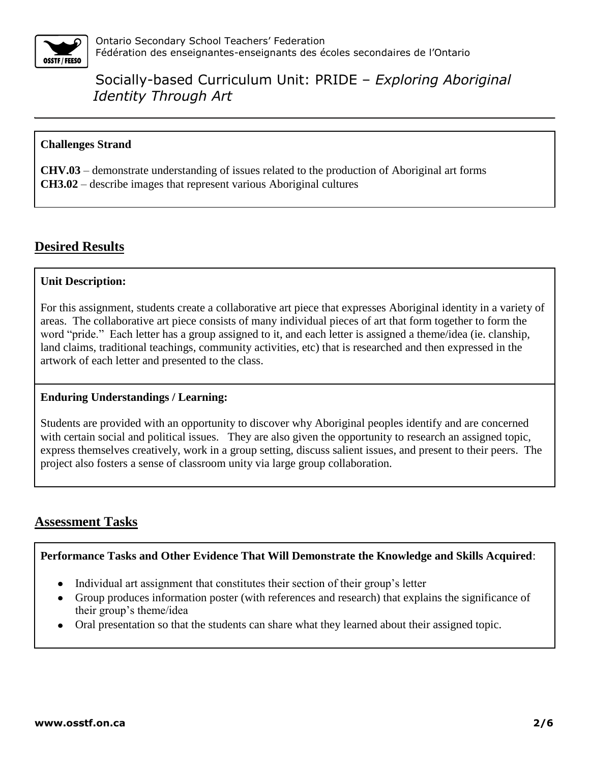

#### **Challenges Strand**

**CHV.03** – demonstrate understanding of issues related to the production of Aboriginal art forms **CH3.02** – describe images that represent various Aboriginal cultures

# **Desired Results**

#### **Unit Description:**

For this assignment, students create a collaborative art piece that expresses Aboriginal identity in a variety of areas. The collaborative art piece consists of many individual pieces of art that form together to form the word "pride." Each letter has a group assigned to it, and each letter is assigned a theme/idea (ie. clanship, land claims, traditional teachings, community activities, etc) that is researched and then expressed in the artwork of each letter and presented to the class.

## **Enduring Understandings / Learning:**

Students are provided with an opportunity to discover why Aboriginal peoples identify and are concerned with certain social and political issues. They are also given the opportunity to research an assigned topic, express themselves creatively, work in a group setting, discuss salient issues, and present to their peers. The project also fosters a sense of classroom unity via large group collaboration.

# **Assessment Tasks**

#### **Performance Tasks and Other Evidence That Will Demonstrate the Knowledge and Skills Acquired**:

- Individual art assignment that constitutes their section of their group's letter
- Group produces information poster (with references and research) that explains the significance of their group's theme/idea
- Oral presentation so that the students can share what they learned about their assigned topic.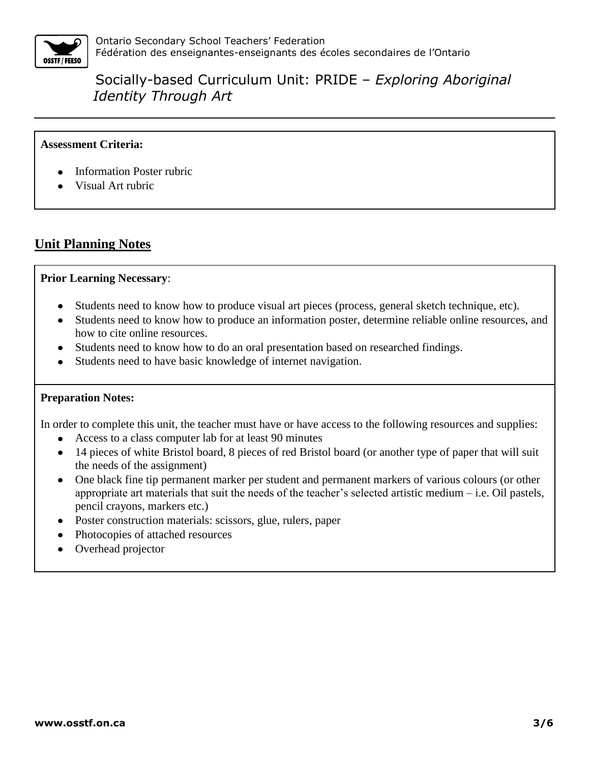

## **Assessment Criteria:**

- Information Poster rubric
- Visual Art rubric

## **Unit Planning Notes**

#### **Prior Learning Necessary**:

- Students need to know how to produce visual art pieces (process, general sketch technique, etc).
- Students need to know how to produce an information poster, determine reliable online resources, and how to cite online resources.
- Students need to know how to do an oral presentation based on researched findings.
- Students need to have basic knowledge of internet navigation.

#### **Preparation Notes:**

In order to complete this unit, the teacher must have or have access to the following resources and supplies:

- Access to a class computer lab for at least 90 minutes
- 14 pieces of white Bristol board, 8 pieces of red Bristol board (or another type of paper that will suit the needs of the assignment)
- One black fine tip permanent marker per student and permanent markers of various colours (or other appropriate art materials that suit the needs of the teacher's selected artistic medium – i.e. Oil pastels, pencil crayons, markers etc.)
- Poster construction materials: scissors, glue, rulers, paper
- Photocopies of attached resources
- Overhead projector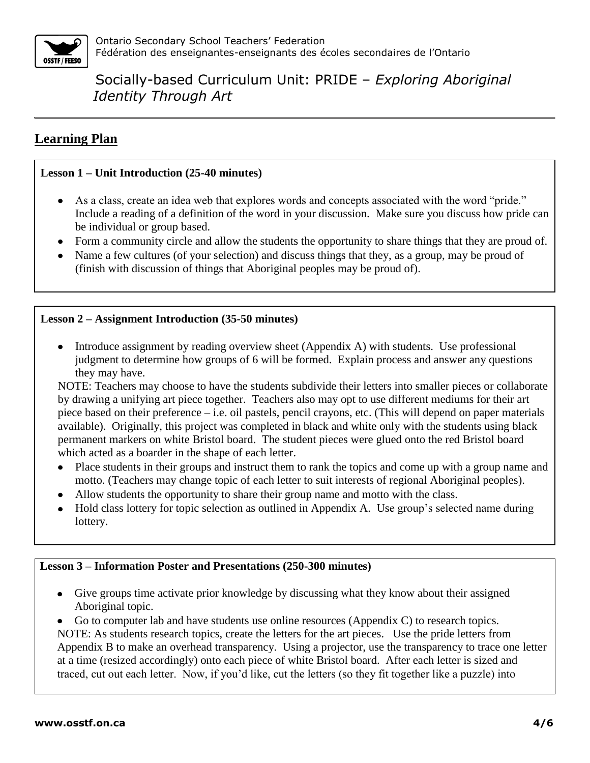

# **Learning Plan**

## **Lesson 1 – Unit Introduction (25-40 minutes)**

- As a class, create an idea web that explores words and concepts associated with the word "pride." Include a reading of a definition of the word in your discussion. Make sure you discuss how pride can be individual or group based.
- Form a community circle and allow the students the opportunity to share things that they are proud of.
- Name a few cultures (of your selection) and discuss things that they, as a group, may be proud of (finish with discussion of things that Aboriginal peoples may be proud of).

## **Lesson 2 – Assignment Introduction (35-50 minutes)**

• Introduce assignment by reading overview sheet (Appendix A) with students. Use professional judgment to determine how groups of 6 will be formed. Explain process and answer any questions they may have.

NOTE: Teachers may choose to have the students subdivide their letters into smaller pieces or collaborate by drawing a unifying art piece together. Teachers also may opt to use different mediums for their art piece based on their preference – i.e. oil pastels, pencil crayons, etc. (This will depend on paper materials available). Originally, this project was completed in black and white only with the students using black permanent markers on white Bristol board. The student pieces were glued onto the red Bristol board which acted as a boarder in the shape of each letter.

- Place students in their groups and instruct them to rank the topics and come up with a group name and motto. (Teachers may change topic of each letter to suit interests of regional Aboriginal peoples).
- Allow students the opportunity to share their group name and motto with the class.
- Hold class lottery for topic selection as outlined in Appendix A. Use group's selected name during lottery.

## **Lesson 3 – Information Poster and Presentations (250-300 minutes)**

Give groups time activate prior knowledge by discussing what they know about their assigned Aboriginal topic.

Go to computer lab and have students use online resources (Appendix C) to research topics. NOTE: As students research topics, create the letters for the art pieces. Use the pride letters from Appendix B to make an overhead transparency. Using a projector, use the transparency to trace one letter at a time (resized accordingly) onto each piece of white Bristol board. After each letter is sized and traced, cut out each letter. Now, if you'd like, cut the letters (so they fit together like a puzzle) into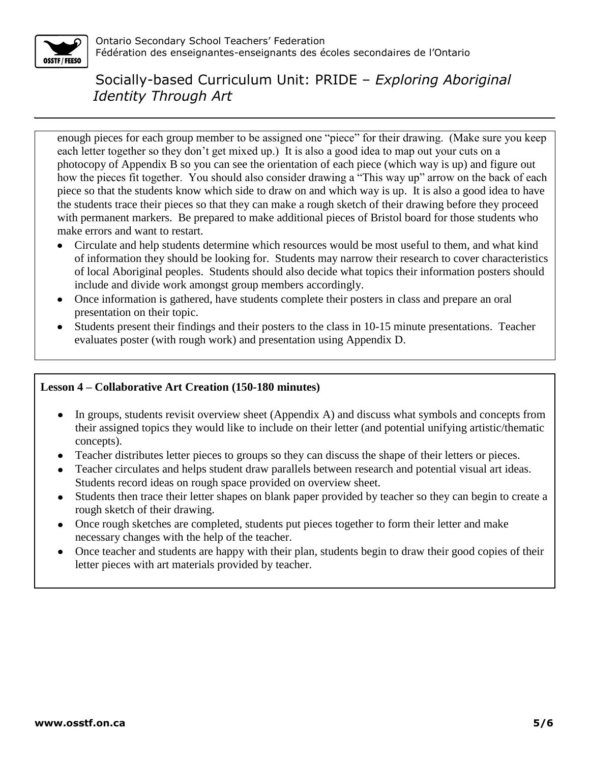

enough pieces for each group member to be assigned one "piece" for their drawing. (Make sure you keep each letter together so they don't get mixed up.) It is also a good idea to map out your cuts on a photocopy of Appendix B so you can see the orientation of each piece (which way is up) and figure out how the pieces fit together. You should also consider drawing a "This way up" arrow on the back of each piece so that the students know which side to draw on and which way is up. It is also a good idea to have the students trace their pieces so that they can make a rough sketch of their drawing before they proceed with permanent markers. Be prepared to make additional pieces of Bristol board for those students who make errors and want to restart.

- Circulate and help students determine which resources would be most useful to them, and what kind of information they should be looking for. Students may narrow their research to cover characteristics of local Aboriginal peoples. Students should also decide what topics their information posters should include and divide work amongst group members accordingly.
- Once information is gathered, have students complete their posters in class and prepare an oral presentation on their topic.
- Students present their findings and their posters to the class in 10-15 minute presentations. Teacher evaluates poster (with rough work) and presentation using Appendix D.

#### **Lesson 4 – Collaborative Art Creation (150-180 minutes)**

- $\bullet$ In groups, students revisit overview sheet (Appendix A) and discuss what symbols and concepts from their assigned topics they would like to include on their letter (and potential unifying artistic/thematic concepts).
- Teacher distributes letter pieces to groups so they can discuss the shape of their letters or pieces.
- Teacher circulates and helps student draw parallels between research and potential visual art ideas. Students record ideas on rough space provided on overview sheet.
- Students then trace their letter shapes on blank paper provided by teacher so they can begin to create a rough sketch of their drawing.
- Once rough sketches are completed, students put pieces together to form their letter and make necessary changes with the help of the teacher.
- Once teacher and students are happy with their plan, students begin to draw their good copies of their  $\bullet$ letter pieces with art materials provided by teacher.